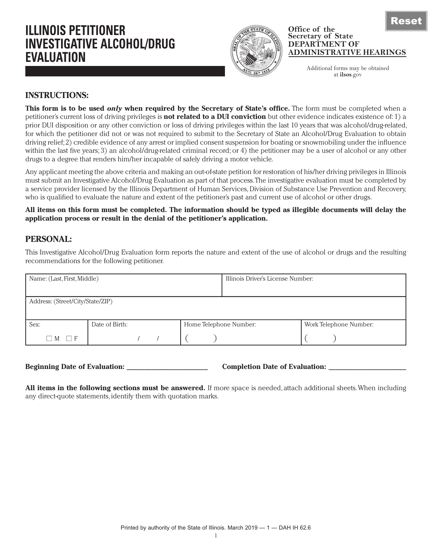# **ILLINOIS PETITIONER INVESTIGATIVE ALCOHOL/DRUG EVALUATION**



#### **Office of the Secretary of State DEPARTMENT OF ADMINISTRATIVE HEARINGS**

Additional forms may be obtained at **ilsos**.gov

## **INSTRUCTIONS:**

**This form is to be used** *only* **when required by the Secretary of State's office.** The form must be completed when a petitioner's current loss of driving privileges is **not related to a DUI conviction** but other evidence indicates existence of: 1) a prior DUI disposition or any other conviction or loss of driving privileges within the last 10 years that was alcohol/drug-related, for which the petitioner did not or was not required to submit to the Secretary of State an Alcohol/Drug Evaluation to obtain driving relief; 2) credible evidence of any arrest or implied consent suspension for boating or snowmobiling under the influence within the last five years; 3) an alcohol/drug-related criminal record; or 4) the petitioner may be a user of alcohol or any other drugs to a degree that renders him/her incapable of safely driving a motor vehicle.

Any applicant meeting the above criteria and making an out-of-state petition for restoration of his/her driving privileges in Illinois must submit an Investigative Alcohol/Drug Evaluation as part of that process. The investigative evaluation must be completed by a service provider licensed by the Illinois Department of Human Services, Division of Substance Use Prevention and Recovery, who is qualified to evaluate the nature and extent of the petitioner's past and current use of alcohol or other drugs.

**All items on this form must be completed. The information should be typed as illegible documents will delay the application process or result in the denial of the petitioner's application.**

# **PERSONAL:**

This Investigative Alcohol/Drug Evaluation form reports the nature and extent of the use of alcohol or drugs and the resulting recommendations for the following petitioner.

| Name: (Last, First, Middle)      |                                          |  | Illinois Driver's License Number: |                        |  |  |
|----------------------------------|------------------------------------------|--|-----------------------------------|------------------------|--|--|
|                                  |                                          |  |                                   |                        |  |  |
| Address: (Street/City/State/ZIP) |                                          |  |                                   |                        |  |  |
|                                  |                                          |  |                                   |                        |  |  |
| Sex:                             | Date of Birth:<br>Home Telephone Number: |  |                                   | Work Telephone Number: |  |  |
| -F<br>M<br>$\mathbf{I}$          |                                          |  |                                   |                        |  |  |

**Beginning Date of Evaluation: \_\_\_\_\_\_\_\_\_\_\_\_\_\_\_\_\_\_\_\_\_\_\_ Completion Date of Evaluation: \_\_\_\_\_\_\_\_\_\_\_\_\_\_\_\_\_\_\_\_\_\_**

**All items in the following sections must be answered.** If more space is needed, attach additional sheets. When including any direct-quote statements, identify them with quotation marks.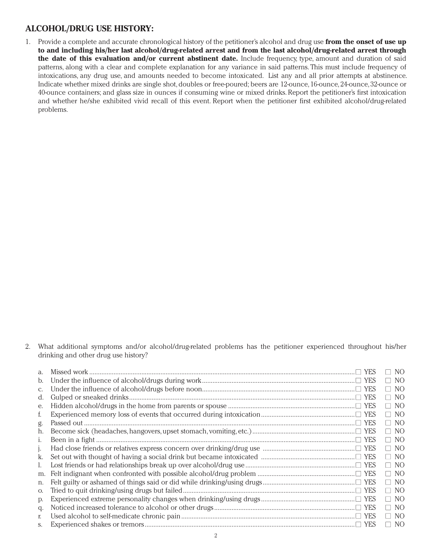### **ALCOHOL/DRUG USE HISTORY:**

1. Provide a complete and accurate chronological history of the petitioner's alcohol and drug use **from the onset of use up to and including his/her last alcohol/drug-related arrest and from the last alcohol/drug-related arrest through the date of this evaluation and/or current abstinent date.** Include frequency, type, amount and duration of said patterns, along with a clear and complete explanation for any variance in said patterns. This must include frequency of intoxications, any drug use, and amounts needed to become intoxicated. List any and all prior attempts at abstinence. Indicate whether mixed drinks are single shot, doubles or free-poured; beers are 12-ounce, 16-ounce, 24-ounce, 32-ounce or 40-ounce containers; and glass size in ounces if consuming wine or mixed drinks. Report the petitioner's first intoxication and whether he/she exhibited vivid recall of this event. Report when the petitioner first exhibited alcohol/drug-related problems.

2. What additional symptoms and/or alcohol/drug-related problems has the petitioner experienced throughout his/her drinking and other drug use history?

| a.      | NO.           |
|---------|---------------|
| b.      | $\Box$ NO     |
| C.      | $\Box$ NO     |
| d.      | $\Box$ NO     |
| e.      | $\Box$ NO     |
| f.      | $\Box$ NO     |
| g.      | $\Box$ NO     |
| h.      | $\Box$ NO     |
| 1.      | $\Box$ NO     |
| $\cdot$ | $\Box$ NO     |
| k.      | $\Box$ NO     |
| I.      | $\Box$ NO     |
| m.      | $\Box$ NO     |
| n.      | $\Box$ NO     |
| O.      | $\Box$ NO     |
| D.      | $\Box$ NO     |
| q.      | $\Box$ NO     |
| r.      | $\Box$ NO     |
| S.      | NO.<br>$\Box$ |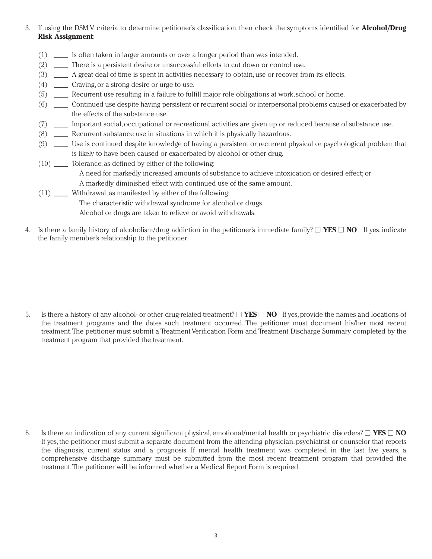- 3. If using the DSM V criteria to determine petitioner's classification, then check the symptoms identified for **Alcohol/Drug Risk Assignment**:
	- (1) \_\_\_\_ Is often taken in larger amounts or over a longer period than was intended.
	- (2) \_\_\_\_ There is a persistent desire or unsuccessful efforts to cut down or control use.
	- (3) \_\_\_\_ A great deal of time is spent in activities necessary to obtain, use or recover from its effects.
	- (4) \_\_\_\_ Craving, or a strong desire or urge to use.
	- (5) \_\_\_\_ Recurrent use resulting in a failure to fulfill major role obligations at work, school or home.
	- (6) \_\_\_\_ Continued use despite having persistent or recurrent social or interpersonal problems caused or exacerbated by the effects of the substance use.
	- (7) \_\_\_\_ Important social, occupational or recreational activities are given up or reduced because of substance use.
	- (8) \_\_\_\_ Recurrent substance use in situations in which it is physically hazardous.
	- (9) \_\_\_\_ Use is continued despite knowledge of having a persistent or recurrent physical or psychological problem that is likely to have been caused or exacerbated by alcohol or other drug.
	- (10) \_\_\_\_ Tolerance, as defined by either of the following: A need for markedly increased amounts of substance to achieve intoxication or desired effect; or A markedly diminished effect with continued use of the same amount.
	- (11) \_\_\_\_ Withdrawal, as manifested by either of the following:

The characteristic withdrawal syndrome for alcohol or drugs.

Alcohol or drugs are taken to relieve or avoid withdrawals.

4. Is there a family history of alcoholism/drug addiction in the petitioner's immediate family?  $\Box$  **YES**  $\Box$  **NO** If yes, indicate the family member's relationship to the petitioner.

5. Is there a history of any alcohol- or other drug-related treatment?  $\Box$  **YES**  $\Box$  **NO** If yes, provide the names and locations of the treatment programs and the dates such treatment occurred. The petitioner must document his/her most recent treatment. The petitioner must submit a Treatment Verification Form and Treatment Discharge Summary completed by the treatment program that provided the treatment.

6. Is there an indication of any current significant physical, emotional/mental health or psychiatric disorders?  $\Box$  **YES**  $\Box$  **NO** If yes, the petitioner must submit a separate document from the attending physician, psychiatrist or counselor that reports the diagnosis, current status and a prognosis. If mental health treatment was completed in the last five years, a comprehensive discharge summary must be submitted from the most recent treatment program that provided the treatment. The petitioner will be informed whether a Medical Report Form is required.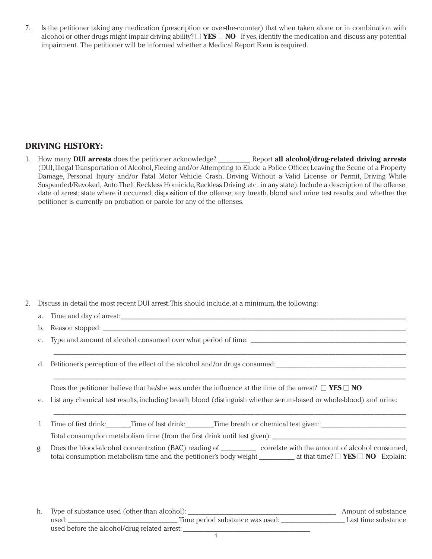7. Is the petitioner taking any medication (prescription or over-the-counter) that when taken alone or in combination with alcohol or other drugs might impair driving ability?  $\Box$  **YES**  $\Box$  **NO** If yes, identify the medication and discuss any potential impairment. The petitioner will be informed whether a Medical Report Form is required.

# **DRIVING HISTORY:**

1. How many **DUI arrests** does the petitioner acknowledge? \_\_\_\_\_\_\_\_\_ Report **all alcohol/drug-related driving arrests** (DUI, Illegal Transportation of Alcohol, Fleeing and/or Attempting to Elude a Police Officer, Leaving the Scene of a Property Damage, Personal Injury and/or Fatal Motor Vehicle Crash, Driving Without a Valid License or Permit, Driving While Suspended/Revoked, Auto Theft, Reckless Homicide, Reckless Driving, etc., in any state). Include a description of the offense; date of arrest; state where it occurred; disposition of the offense; any breath, blood and urine test results; and whether the petitioner is currently on probation or parole for any of the offenses.

- 2. Discuss in detail the most recent DUI arrest. This should include, at a minimum, the following:
	- a. Time and day of arrest:
	- b. Reason stopped:
	- c. Type and amount of alcohol consumed over what period of time: \_\_\_\_\_\_\_\_\_\_\_\_\_\_\_\_\_\_\_\_\_\_\_\_\_\_\_\_\_\_\_\_\_\_\_\_\_\_\_\_\_\_\_\_
	- d. Petitioner's perception of the effect of the alcohol and/or drugs consumed:

Does the petitioner believe that he/she was under the influence at the time of the arrest?  $\Box$  **YES**  $\Box$  **NO** 

e. List any chemical test results, including breath, blood (distinguish whether serum-based or whole-blood) and urine:

\_\_\_\_\_\_\_\_\_\_\_\_\_\_\_\_\_\_\_\_\_\_\_\_\_\_\_\_\_\_\_\_\_\_\_\_\_\_\_\_\_\_\_\_\_\_\_\_\_\_\_\_\_\_\_\_\_\_\_\_\_\_\_\_\_\_\_\_\_\_\_\_\_\_\_\_\_\_\_\_\_\_\_\_\_\_\_\_\_\_\_\_\_\_\_\_\_\_\_\_

\_\_\_\_\_\_\_\_\_\_\_\_\_\_\_\_\_\_\_\_\_\_\_\_\_\_\_\_\_\_\_\_\_\_\_\_\_\_\_\_\_\_\_\_\_\_\_\_\_\_\_\_\_\_\_\_\_\_\_\_\_\_\_\_\_\_\_\_\_\_\_\_\_\_\_\_\_\_\_\_\_\_\_\_\_\_\_\_\_\_\_\_\_\_\_\_\_\_\_\_

\_\_\_\_\_\_\_\_\_\_\_\_\_\_\_\_\_\_\_\_\_\_\_\_\_\_\_\_\_\_\_\_\_\_\_\_\_\_\_\_\_\_\_\_\_\_\_\_\_\_\_\_\_\_\_\_\_\_\_\_\_\_\_\_\_\_\_\_\_\_\_\_\_\_\_\_\_\_\_\_\_\_\_\_\_\_\_\_\_\_\_\_\_\_\_\_\_\_\_\_

- f. Time of first drink: Time of last drink: Time breath or chemical test given: Total consumption metabolism time (from the first drink until test given):
- g. Does the blood-alcohol concentration (BAC) reading of \_\_\_\_\_\_\_\_\_\_ correlate with the amount of alcohol consumed, total consumption metabolism time and the petitioner's body weight  $\Box$  at that time?  $\Box$  **YES**  $\Box$  **NO** Explain:

h. Type of substance used (other than alcohol): \_\_\_\_\_\_\_\_\_\_\_\_\_\_\_\_\_\_\_\_\_\_\_\_\_\_\_\_\_\_\_\_\_\_\_\_\_\_\_\_\_\_ Amount of substance used: \_\_\_\_\_\_\_\_\_\_\_\_\_\_\_\_\_\_\_\_\_\_\_\_\_\_\_\_\_\_\_ Time period substance was used: \_\_\_\_\_\_\_\_\_\_\_\_\_\_\_\_\_\_ Last time substance used before the alcohol/drug related arrest: \_\_\_\_\_\_\_\_\_\_\_\_\_\_\_\_\_\_\_\_\_\_\_\_\_\_\_\_\_\_\_\_\_\_\_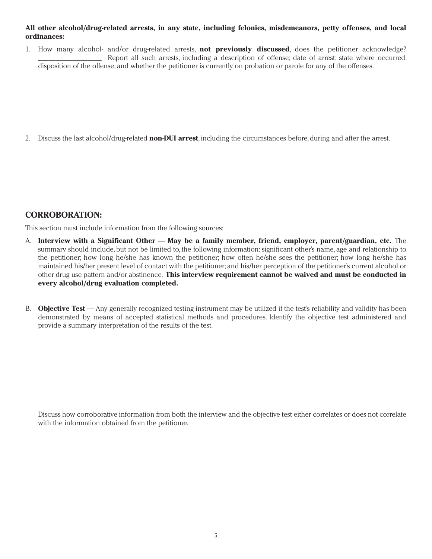#### **All other alcohol/drug-related arrests, in any state, including felonies, misdemeanors, petty offenses, and local ordinances:**

1. How many alcohol- and/or drug-related arrests, **not previously discussed**, does the petitioner acknowledge? Report all such arrests, including a description of offense; date of arrest; state where occurred; disposition of the offense; and whether the petitioner is currently on probation or parole for any of the offenses.

2. Discuss the last alcohol/drug-related **non-DUI arrest**, including the circumstances before, during and after the arrest.

### **CORROBORATION:**

This section must include information from the following sources:

- A. **Interview with a Significant Other May be a family member, friend, employer, parent/guardian, etc.** The summary should include, but not be limited to, the following information: significant other's name, age and relationship to the petitioner; how long he/she has known the petitioner; how often he/she sees the petitioner; how long he/she has maintained his/her present level of contact with the petitioner; and his/her perception of the petitioner's current alcohol or other drug use pattern and/or abstinence. **This interview requirement cannot be waived and must be conducted in every alcohol/drug evaluation completed.**
- B. **Objective Test** Any generally recognized testing instrument may be utilized if the test's reliability and validity has been demonstrated by means of accepted statistical methods and procedures. Identify the objective test administered and provide a summary interpretation of the results of the test.

Discuss how corroborative information from both the interview and the objective test either correlates or does not correlate with the information obtained from the petitioner.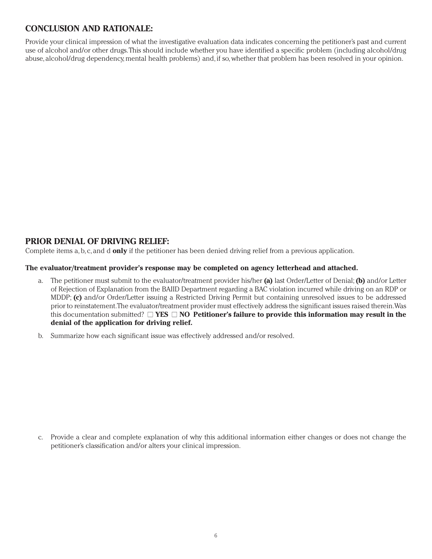# **CONCLUSION AND RATIONALE:**

Provide your clinical impression of what the investigative evaluation data indicates concerning the petitioner's past and current use of alcohol and/or other drugs. This should include whether you have identified a specific problem (including alcohol/drug abuse, alcohol/drug dependency, mental health problems) and, if so, whether that problem has been resolved in your opinion.

# **PRIOR DENIAL OF DRIVING RELIEF:**

Complete items a, b, c, and d **only** if the petitioner has been denied driving relief from a previous application.

#### **The evaluator/treatment provider's response may be completed on agency letterhead and attached.**

- a. The petitioner must submit to the evaluator/treatment provider his/her **(a)** last Order/Letter of Denial; **(b)** and/or Letter of Rejection of Explanation from the BAIID Department regarding a BAC violation incurred while driving on an RDP or MDDP; **(c)** and/or Order/Letter issuing a Restricted Driving Permit but containing unresolved issues to be addressed prior to reinstatement. The evaluator/treatment provider must effectively address the significant issues raised therein. Was this documentation submitted? **■ YES ■ NO Petitioner's failure to provide this information may result in the denial of the application for driving relief.**
- b. Summarize how each significant issue was effectively addressed and/or resolved.

c. Provide a clear and complete explanation of why this additional information either changes or does not change the petitioner's classification and/or alters your clinical impression.